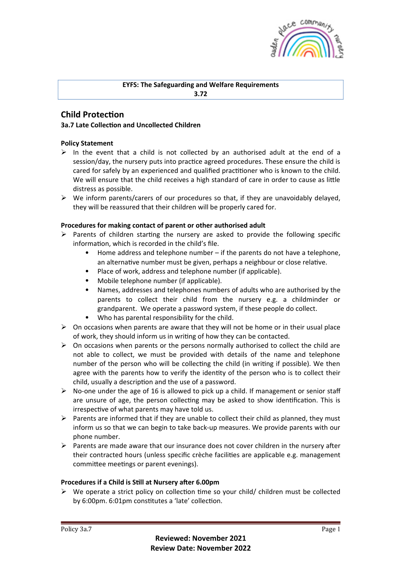

# **EYFS: The Safeguarding and Welfare Requirements**

**3.72**

## **Child Protection**

## **3a.7 Late Collection and Uncollected Children**

## **Policy Statement**

- $\triangleright$  In the event that a child is not collected by an authorised adult at the end of a session/day, the nursery puts into practice agreed procedures. These ensure the child is cared for safely by an experienced and qualified practitioner who is known to the child. We will ensure that the child receives a high standard of care in order to cause as little distress as possible.
- $\triangleright$  We inform parents/carers of our procedures so that, if they are unavoidably delayed, they will be reassured that their children will be properly cared for.

## Procedures for making contact of parent or other authorised adult

- $\triangleright$  Parents of children starting the nursery are asked to provide the following specific information, which is recorded in the child's file.
	- Home address and telephone number if the parents do not have a telephone, an alternative number must be given, perhaps a neighbour or close relative.
	- Place of work, address and telephone number (if applicable).
	- Mobile telephone number (if applicable).
	- Names, addresses and telephones numbers of adults who are authorised by the parents to collect their child from the nursery e.g. a childminder or grandparent. We operate a password system, if these people do collect.
	- Who has parental responsibility for the child.
- $\triangleright$  On occasions when parents are aware that they will not be home or in their usual place of work, they should inform us in writing of how they can be contacted.
- $\triangleright$  On occasions when parents or the persons normally authorised to collect the child are not able to collect, we must be provided with details of the name and telephone number of the person who will be collecting the child (in writing if possible). We then agree with the parents how to verify the identity of the person who is to collect their child, usually a description and the use of a password.
- $\triangleright$  No-one under the age of 16 is allowed to pick up a child. If management or senior staff are unsure of age, the person collecting may be asked to show identification. This is irrespective of what parents may have told us.
- $\triangleright$  Parents are informed that if they are unable to collect their child as planned, they must inform us so that we can begin to take back-up measures. We provide parents with our phone number.
- $\triangleright$  Parents are made aware that our insurance does not cover children in the nursery after their contracted hours (unless specific crèche facilities are applicable e.g. management committee meetings or parent evenings).

#### **Procedures if a Child is Still at Nursery after 6.00pm**

 $\triangleright$  We operate a strict policy on collection time so your child/ children must be collected by 6:00pm. 6:01pm constitutes a 'late' collection.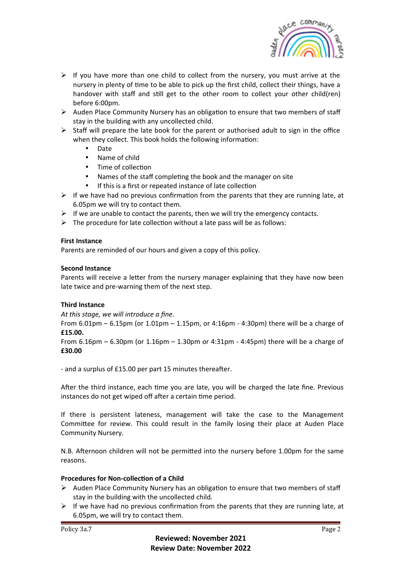

- $\triangleright$  If you have more than one child to collect from the nursery, you must arrive at the nursery in plenty of time to be able to pick up the first child, collect their things, have a handover with staff and still get to the other room to collect your other child(ren) before 6:00pm.
- $\triangleright$  Auden Place Community Nursery has an obligation to ensure that two members of staff stay in the building with any uncollected child.
- $\triangleright$  Staff will prepare the late book for the parent or authorised adult to sign in the office when they collect. This book holds the following information:
	- Date
	- Name of child
	- Time of collection
	- Names of the staff completing the book and the manager on site
	- If this is a first or repeated instance of late collection
- $\triangleright$  If we have had no previous confirmation from the parents that they are running late, at 6.05pm we will try to contact them.
- $\triangleright$  If we are unable to contact the parents, then we will try the emergency contacts.
- $\triangleright$  The procedure for late collection without a late pass will be as follows:

#### **First Instance**

Parents are reminded of our hours and given a copy of this policy.

#### **Second Instance**

Parents will receive a letter from the nursery manager explaining that they have now been late twice and pre-warning them of the next step.

#### **Third Instance**

At this stage, we will introduce a fine.

From 6.01pm – 6.15pm (or 1.01pm – 1.15pm, or 4:16pm - 4:30pm) there will be a charge of **£15.00.**

From  $6.16$ pm –  $6.30$ pm (or  $1.16$ pm –  $1.30$ pm or  $4:31$ pm -  $4:45$ pm) there will be a charge of **£30.00**

- and a surplus of £15.00 per part 15 minutes thereafter.

After the third instance, each time you are late, you will be charged the late fine. Previous instances do not get wiped off after a certain time period.

If there is persistent lateness, management will take the case to the Management Committee for review. This could result in the family losing their place at Auden Place Community Nursery.

N.B. Afternoon children will not be permitted into the nursery before 1.00pm for the same reasons.

#### **Procedures for Non-collection of a Child**

- $\triangleright$  Auden Place Community Nursery has an obligation to ensure that two members of staff stay in the building with the uncollected child.
- $\triangleright$  If we have had no previous confirmation from the parents that they are running late, at 6.05pm, we will try to contact them.